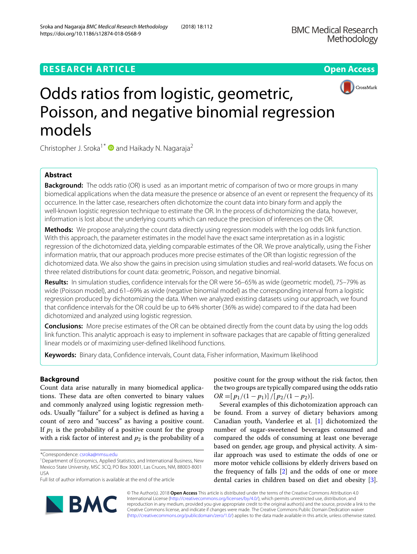



# Odds ratios from logistic, geometric, Poisson, and negative binomial regression models

Christopher J. Sroka<sup>1\*</sup>  $\bullet$  and Haikady N. Nagaraja<sup>2</sup>

# **Abstract**

**Background:** The odds ratio (OR) is used as an important metric of comparison of two or more groups in many biomedical applications when the data measure the presence or absence of an event or represent the frequency of its occurrence. In the latter case, researchers often dichotomize the count data into binary form and apply the well-known logistic regression technique to estimate the OR. In the process of dichotomizing the data, however, information is lost about the underlying counts which can reduce the precision of inferences on the OR.

**Methods:** We propose analyzing the count data directly using regression models with the log odds link function. With this approach, the parameter estimates in the model have the exact same interpretation as in a logistic regression of the dichotomized data, yielding comparable estimates of the OR. We prove analytically, using the Fisher information matrix, that our approach produces more precise estimates of the OR than logistic regression of the dichotomized data. We also show the gains in precision using simulation studies and real-world datasets. We focus on three related distributions for count data: geometric, Poisson, and negative binomial.

**Results:** In simulation studies, confidence intervals for the OR were 56–65% as wide (geometric model), 75–79% as wide (Poisson model), and 61–69% as wide (negative binomial model) as the corresponding interval from a logistic regression produced by dichotomizing the data. When we analyzed existing datasets using our approach, we found that confidence intervals for the OR could be up to 64% shorter (36% as wide) compared to if the data had been dichotomized and analyzed using logistic regression.

**Conclusions:** More precise estimates of the OR can be obtained directly from the count data by using the log odds link function. This analytic approach is easy to implement in software packages that are capable of fitting generalized linear models or of maximizing user-defined likelihood functions.

**Keywords:** Binary data, Confidence intervals, Count data, Fisher information, Maximum likelihood

# <span id="page-0-0"></span>**Background**

Count data arise naturally in many biomedical applications. These data are often converted to binary values and commonly analyzed using logistic regression methods. Usually "failure" for a subject is defined as having a count of zero and "success" as having a positive count. If  $p_1$  is the probability of a positive count for the group with a risk factor of interest and  $p_2$  is the probability of a positive count for the group without the risk factor, then the two groups are typically compared using the odds ratio  $OR = [p_1/(1-p_1)]/[p_2/(1-p_2)].$ 

Several examples of this dichotomization approach can be found. From a survey of dietary behaviors among Canadian youth, Vanderlee et al. [\[1\]](#page-9-0) dichotomized the number of sugar-sweetened beverages consumed and compared the odds of consuming at least one beverage based on gender, age group, and physical activity. A similar approach was used to estimate the odds of one or more motor vehicle collisions by elderly drivers based on the frequency of falls [\[2\]](#page-9-1) and the odds of one or more dental caries in children based on diet and obesity [\[3\]](#page-9-2).

© The Author(s). 2018 **Open Access** This article is distributed under the terms of the Creative Commons Attribution 4.0 International License [\(http://creativecommons.org/licenses/by/4.0/\)](http://creativecommons.org/licenses/by/4.0/), which permits unrestricted use, distribution, and reproduction in any medium, provided you give appropriate credit to the original author(s) and the source, provide a link to the Creative Commons license, and indicate if changes were made. The Creative Commons Public Domain Dedication waiver [\(http://creativecommons.org/publicdomain/zero/1.0/\)](http://creativecommons.org/publicdomain/zero/1.0/) applies to the data made available in this article, unless otherwise stated.

**NBMC** 

<sup>\*</sup>Correspondence: [csroka@nmsu.edu](mailto: csroka@nmsu.edu)

<sup>1</sup>Department of Economics, Applied Statistics, and International Business, New Mexico State University, MSC 3CQ, PO Box 30001, Las Cruces, NM, 88003-8001 USA

Full list of author information is available at the end of the article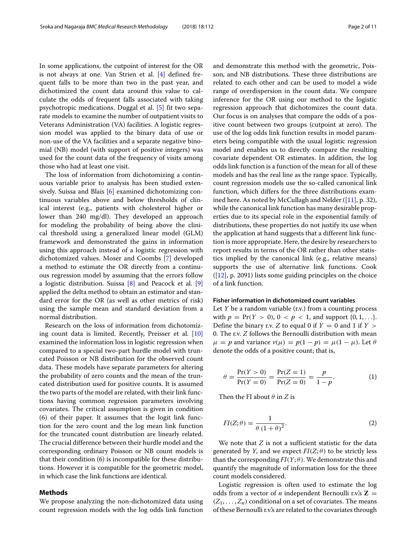In some applications, the cutpoint of interest for the OR is not always at one. Van Strien et al. [\[4\]](#page-9-3) defined frequent falls to be more than two in the past year, and dichotimized the count data around this value to calculate the odds of frequent falls associated with taking psychotropic medications. Duggal et al. [\[5\]](#page-9-4) fit two separate models to examine the number of outpatient visits to Veterans Administration (VA) facilities. A logistic regression model was applied to the binary data of use or non-use of the VA facilities and a separate negative binomial (NB) model (with support of positive integers) was used for the count data of the frequency of visits among those who had at least one visit.

The loss of information from dichotomizing a continuous variable prior to analysis has been studied extensively. Suissa and Blais [\[6\]](#page-10-0) examined dichotomizing continuous variables above and below thresholds of clinical interest (e.g., patients with cholesterol higher or lower than 240 mg/dl). They developed an approach for modeling the probability of being above the clinical threshold using a generalized linear model (GLM) framework and demonstrated the gains in information using this approach instead of a logistic regression with dichotomized values. Moser and Coombs [\[7\]](#page-10-1) developed a method to estimate the OR directly from a continuous regression model by assuming that the errors follow a logistic distribution. Suissa [\[8\]](#page-10-2) and Peacock et al. [\[9\]](#page-10-3) applied the delta method to obtain an estimator and standard error for the OR (as well as other metrics of risk) using the sample mean and standard deviation from a normal distribution.

Research on the loss of information from dichotomizing count data is limited. Recently, Preisser et al. [\[10\]](#page-10-4) examined the information loss in logistic regression when compared to a special two-part hurdle model with truncated Poisson or NB distribution for the observed count data. These models have separate parameters for altering the probability of zero counts and the mean of the truncated distribution used for positive counts. It is assumed the two parts of the model are related, with their link functions having common regression parameters involving covariates. The critical assumption is given in condition (6) of their paper. It assumes that the logit link function for the zero count and the log mean link function for the truncated count distribution are linearly related. The crucial difference between their hurdle model and the corresponding ordinary Poisson or NB count models is that their condition (6) is incompatible for these distributions. However it is compatible for the geometric model, in which case the link functions are identical.

#### **Methods**

We propose analyzing the non-dichotomized data using count regression models with the log odds link function

and demonstrate this method with the geometric, Poisson, and NB distributions. These three distributions are related to each other and can be used to model a wide range of overdispersion in the count data. We compare inference for the OR using our method to the logistic regression approach that dichotomizes the count data. Our focus is on analyses that compare the odds of a positive count between two groups (cutpoint at zero). The use of the log odds link function results in model parameters being compatible with the usual logistic regression model and enables us to directly compare the resulting covariate dependent OR estimates. In addition, the log odds link function is a function of the mean for all of these models and has the real line as the range space. Typically, count regression models use the so-called canonical link function, which differs for the three distributions examined here. As noted by McCullagh and Nelder ([\[11\]](#page-10-5), p. 32), while the canonical link function has many desirable properties due to its special role in the exponential family of distributions, these properties do not justify its use when the application at hand suggests that a different link function is more appropriate. Here, the desire by researchers to report results in terms of the OR rather than other statistics implied by the canonical link (e.g., relative means) supports the use of alternative link functions. Cook ([\[12\]](#page-10-6), p. 2091) lists some guiding principles on the choice of a link function.

#### **Fisher information in dichotomized count variables**

Let *Y* be a random variable (r.v.) from a counting process with  $p = Pr(Y > 0)$ ,  $0 < p < 1$ , and support  $\{0, 1, ...\}$ . Define the binary r.v. *Z* to equal 0 if  $Y = 0$  and 1 if  $Y > 0$ 0. The r.v. *Z* follows the Bernoulli distribution with mean  $\mu = p$  and variance  $v(\mu) = p(1 - p) = \mu(1 - \mu)$ . Let  $\theta$ denote the odds of a positive count; that is,

<span id="page-1-0"></span>
$$
\theta = \frac{\Pr(Y > 0)}{\Pr(Y = 0)} = \frac{\Pr(Z = 1)}{\Pr(Z = 0)} = \frac{p}{1 - p}.\tag{1}
$$

<span id="page-1-1"></span>Then the FI about  $\theta$  in *Z* is

$$
FI(Z; \theta) = \frac{1}{\theta (1+\theta)^2}.
$$
 (2)

We note that *Z* is not a sufficient statistic for the data generated by *Y*, and we expect  $FI(Z; \theta)$  to be strictly less than the corresponding  $FI(Y; \theta)$ . We demonstrate this and quantify the magnitude of information loss for the three count models considered.

Logistic regression is often used to estimate the log odds from a vector of *n* independent Bernoulli r.v.'s  $Z =$  $(Z_1, \ldots, Z_n)$  conditional on a set of covariates. The means of these Bernoulli r.v.'s are related to the covariates through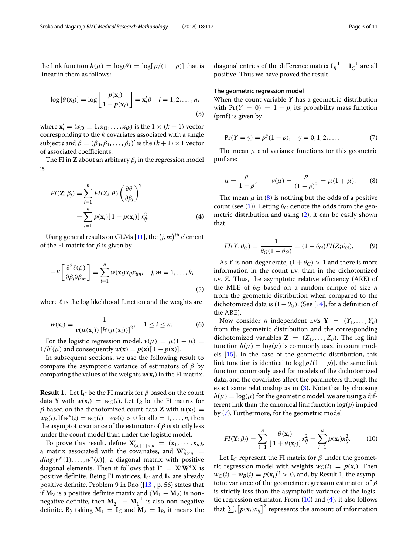<span id="page-2-1"></span>
$$
\log [\theta(\mathbf{x}_i)] = \log \left[\frac{p(\mathbf{x}_i)}{1 - p(\mathbf{x}_i)}\right] = \mathbf{x}'_i \beta \quad i = 1, 2, \dots, n,
$$
\n(3)

where  $\mathbf{x}'_i = (x_{i0} \equiv 1, x_{i1}, \dots, x_{ik})$  is the  $1 \times (k+1)$  vector corresponding to the *k* covariates associated with a single subject *i* and  $\beta = (\beta_0, \beta_1, \dots, \beta_k)'$  is the  $(k+1) \times 1$  vector of associated coefficients.

The FI in **Z** about an arbitrary  $\beta_i$  in the regression model is

$$
FI(\mathbf{Z}; \beta_j) = \sum_{i=1}^n FI(Z_i; \theta) \left(\frac{\partial \theta}{\partial \beta_j}\right)^2
$$
  
= 
$$
\sum_{i=1}^n p(\mathbf{x}_i) [1 - p(\mathbf{x}_i)] x_{ij}^2.
$$
 (4)

Using general results on GLMs [\[11\]](#page-10-5), the  $(j, m)^{\text{th}}$  element of the FI matrix for  $\beta$  is given by

$$
-E\left[\frac{\partial^2 \ell(\beta)}{\partial \beta_j \partial \beta_m}\right] = \sum_{i=1}^n w(\mathbf{x}_i) x_{ij} x_{im}, \quad j, m = 1, \dots, k,
$$
\n(5)

where  $\ell$  is the log likelihood function and the weights are

$$
w(\mathbf{x}_i) = \frac{1}{\nu(\mu(\mathbf{x}_i)) \left[ h'(\mu(\mathbf{x}_i)) \right]^2}, \quad 1 \le i \le n. \tag{6}
$$

For the logistic regression model,  $v(\mu) = \mu(1 - \mu)$  $1/h'(\mu)$  and consequently  $w(\mathbf{x}) = p(\mathbf{x})[1 - p(\mathbf{x})].$ 

In subsequent sections, we use the following result to compare the asymptotic variance of estimators of  $\beta$  by comparing the values of the weights  $w(\mathbf{x}_i)$  in the FI matrix.

**Result 1.** Let  $I_C$  be the FI matrix for  $\beta$  based on the count data **Y** with  $w(\mathbf{x}_i) = w_C(i)$ . Let  $\mathbf{I}_B$  be the FI matrix for β based on the dichotomized count data **Z** with  $w(\mathbf{x}_i)$  =  $w_B(i)$ . If  $w^*(i) = w_C(i) - w_B(i) > 0$  for all  $i = 1, ..., n$ , then the asymptotic variance of the estimator of  $\beta$  is strictly less under the count model than under the logistic model.

To prove this result, define  $X'_{(k+1)\times n} = (x_1, \dots, x_n)$ , a matrix associated with the covariates, and  $W^*_{n \times n}$  =  $diag{w^*(1), \ldots, w^*(n)}$ , a diagonal matrix with positive diagonal elements. Then it follows that  $I^* = X'W^*X$  is positive definite. Being FI matrices, **I***<sup>C</sup>* and **I***<sup>B</sup>* are already positive definite. Problem 9 in Rao  $(13)$ , p. 56) states that if  $M_2$  is a positive definite matrix and  $(M_1 - M_2)$  is nonnegative definite, then  $M_2^{-1} - M_1^{-1}$  is also non-negative definite. By taking  $M_1 = I_C$  and  $M_2 = I_B$ , it means the

diagonal entries of the difference matrix  $I_B^{-1} - I_C^{-1}$  are all positive. Thus we have proved the result.

#### **The geometric regression model**

<span id="page-2-2"></span>When the count variable *Y* has a geometric distribution with  $Pr(Y = 0) = 1 - p$ , its probability mass function  $(pmf)$  is given by

$$
Pr(Y = y) = p^{y}(1 - p), \quad y = 0, 1, 2, .... \tag{7}
$$

<span id="page-2-0"></span>The mean  $\mu$  and variance functions for this geometric pmf are:

$$
\mu = \frac{p}{1 - p}, \qquad \nu(\mu) = \frac{p}{(1 - p)^2} = \mu(1 + \mu). \tag{8}
$$

<span id="page-2-4"></span>The mean  $\mu$  in [\(8\)](#page-2-0) is nothing but the odds of a positive count (see [\(1\)](#page-1-0)). Letting  $\theta_G$  denote the odds from the geometric distribution and using [\(2\)](#page-1-1), it can be easily shown that

<span id="page-2-5"></span>
$$
FI(Y; \theta_G) = \frac{1}{\theta_G(1 + \theta_G)} = (1 + \theta_G)FI(Z; \theta_G).
$$
 (9)

As *Y* is non-degenerate,  $(1 + \theta_G) > 1$  and there is more information in the count r.v. than in the dichotomized r.v. *Z*. Thus, the asymptotic relative efficiency (ARE) of the MLE of θ*<sup>G</sup>* based on a random sample of size *n* from the geometric distribution when compared to the dichotomized data is  $(1+\theta_G)$ . (See [\[14\]](#page-10-8), for a definition of the ARE).

Now consider *n* independent r.v.'s  $Y = (Y_1, \ldots, Y_n)$ from the geometric distribution and the corresponding dichotomized variables  $\mathbf{Z} = (Z_1, \ldots, Z_n)$ . The log link function  $h(\mu) = \log(\mu)$  is commonly used in count models [\[15\]](#page-10-9). In the case of the geometric distribution, this link function is identical to  $\log[p/(1-p)]$ , the same link function commonly used for models of the dichotomized data, and the covariates affect the parameters through the exact same relationship as in  $(3)$ . Note that by choosing  $h(\mu) = \log(\mu)$  for the geometric model, we are using a different link than the canonical link function  $log(p)$  implied by [\(7\)](#page-2-2). Furthermore, for the geometric model

<span id="page-2-3"></span>
$$
FI(\mathbf{Y}; \beta_j) = \sum_{i=1}^n \frac{\theta(\mathbf{x}_i)}{[1 + \theta(\mathbf{x}_i)]} x_{ij}^2 = \sum_{i=1}^n p(\mathbf{x}_i) x_{ij}^2.
$$
 (10)

Let  $I_C$  represent the FI matrix for  $\beta$  under the geometric regression model with weights  $w_C(i) = p(\mathbf{x}_i)$ . Then  $w_C(i) - w_B(i) = p(\mathbf{x}_i)^2 > 0$ , and, by Result 1, the asymptotic variance of the geometric regression estimator of  $\beta$ is strictly less than the asymptotic variance of the logistic regression estimator. From  $(10)$  and  $(4)$ , it also follows that  $\sum_i \big[p(\mathbf{x}_i) x_{ij}\big]^2$  represents the amount of information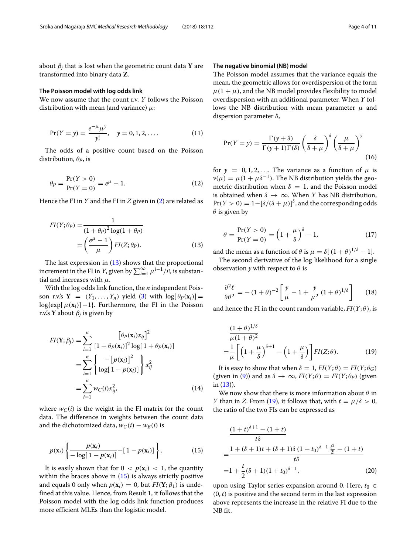about  $\beta_i$  that is lost when the geometric count data **Y** are transformed into binary data **Z**.

#### **The Poisson model with log odds link**

We now assume that the count r.v. *Y* follows the Poisson distribution with mean (and variance)  $\mu$ :

$$
Pr(Y = y) = \frac{e^{-\mu}\mu^{y}}{y!}, \quad y = 0, 1, 2, ....
$$
 (11)

The odds of a positive count based on the Poisson distribution, θ*P*, is

$$
\theta_P = \frac{\Pr(Y > 0)}{\Pr(Y = 0)} = e^{\mu} - 1. \tag{12}
$$

Hence the FI in *Y* and the FI in *Z* given in [\(2\)](#page-1-1) are related as

$$
FI(Y; \theta_P) = \frac{1}{(1 + \theta_P)^2 \log(1 + \theta_P)}
$$

$$
= \left(\frac{e^{\mu} - 1}{\mu}\right) FI(Z; \theta_P).
$$
(13)

The last expression in [\(13\)](#page-3-0) shows that the proportional increment in the FI in *Y*, given by  $\sum_{i=1}^{\infty} \mu^{i-1}/i!$ , is substantial and increases with  $\mu$ .

With the log odds link function, the *n* independent Poisson r.v.'s  $Y = (Y_1, \ldots, Y_n)$  yield [\(3\)](#page-2-1) with  $\log[\theta_P(x_i)] =$ log{ $\exp[\mu(\mathbf{x}_i)] - 1$ }. Furthermore, the FI in the Poisson r.v.'s **Y** about  $\beta_i$  is given by

$$
FI(\mathbf{Y}; \beta_j) = \sum_{i=1}^n \frac{\left[\theta_P(\mathbf{x}_i)x_{ij}\right]^2}{\left[1 + \theta_P(\mathbf{x}_i)\right]^2 \log\left[1 + \theta_P(\mathbf{x}_i)\right]}
$$

$$
= \sum_{i=1}^n \left\{\frac{-\left[p(\mathbf{x}_i)\right]^2}{\log\left[1 - p(\mathbf{x}_i)\right]}\right\} x_{ij}^2
$$

$$
= \sum_{i=1}^n w_C(i)x_{ij}^2, \tag{14}
$$

<span id="page-3-1"></span>where  $w_C(i)$  is the weight in the FI matrix for the count data. The difference in weights between the count data and the dichotomized data,  $w_C(i) - w_B(i)$  is

$$
p(\mathbf{x}_i) \left\{ \frac{p(\mathbf{x}_i)}{-\log[1-p(\mathbf{x}_i)]} - [1-p(\mathbf{x}_i)] \right\}.
$$
 (15)

It is easily shown that for  $0 < p(\mathbf{x}_i) < 1$ , the quantity within the braces above in  $(15)$  is always strictly positive and equals 0 only when  $p(\mathbf{x}_i) = 0$ , but  $FI(Y; \beta_1)$  is undefined at this value. Hence, from Result 1, it follows that the Poisson model with the log odds link function produces more efficient MLEs than the logistic model.

#### **The negative binomial (NB) model**

The Poisson model assumes that the variance equals the mean, the geometric allows for overdispersion of the form  $\mu(1 + \mu)$ , and the NB model provides flexibility to model overdispersion with an additional parameter. When *Y* follows the NB distribution with mean parameter  $\mu$  and dispersion parameter  $\delta$ ,

$$
\Pr(Y = y) = \frac{\Gamma(y + \delta)}{\Gamma(y + 1)\Gamma(\delta)} \left(\frac{\delta}{\delta + \mu}\right)^{\delta} \left(\frac{\mu}{\delta + \mu}\right)^{y}
$$
(16)

for  $y = 0, 1, 2, \ldots$  The variance as a function of  $\mu$  is  $\nu(\mu) = \mu(1 + \mu \delta^{-1})$ . The NB distribution yields the geometric distribution when  $\delta = 1$ , and the Poisson model is obtained when  $\delta \to \infty$ . When *Y* has NB distribution,  $Pr(Y > 0) = 1 - [\delta/(\delta + \mu)]^{\delta}$ , and the corresponding odds  $\theta$  is given by

<span id="page-3-3"></span>
$$
\theta = \frac{\Pr(Y > 0)}{\Pr(Y = 0)} = \left(1 + \frac{\mu}{\delta}\right)^{\delta} - 1,\tag{17}
$$

<span id="page-3-0"></span>and the mean as a function of  $\theta$  is  $\mu = \delta [(1 + \theta)^{1/\delta} - 1]$ .

The second derivative of the log likelihood for a single observation  $\gamma$  with respect to  $\theta$  is

$$
\frac{\partial^2 \ell}{\partial \theta^2} = -(1+\theta)^{-2} \left[ \frac{y}{\mu} - 1 + \frac{y}{\mu^2} (1+\theta)^{1/\delta} \right] \tag{18}
$$

and hence the FI in the count random variable,  $FI(Y; \theta)$ , is

<span id="page-3-2"></span>
$$
\frac{(1+\theta)^{1/\delta}}{\mu(1+\theta)^2} = \frac{1}{\mu} \left[ \left( 1 + \frac{\mu}{\delta} \right)^{\delta+1} - \left( 1 + \frac{\mu}{\delta} \right) \right] FI(Z;\theta). \tag{19}
$$

It is easy to show that when  $\delta = 1$ ,  $FI(Y; \theta) = FI(Y; \theta)$ (given in [\(9\)](#page-2-5)) and as  $\delta \to \infty$ ,  $FI(Y;\theta) = FI(Y;\theta_P)$  (given in [\(13\)](#page-3-0)).

We now show that there is more information about  $\theta$  in *Y* than in *Z*. From [\(19\)](#page-3-2), it follows that, with  $t = \mu/\delta > 0$ , the ratio of the two FIs can be expressed as

$$
\frac{(1+t)^{\delta+1} - (1+t)}{t\delta}
$$
\n
$$
= \frac{1 + (\delta+1)t + (\delta+1)\delta (1+t_0)^{\delta-1} \frac{t^2}{2!} - (1+t)}{t\delta}
$$
\n
$$
= 1 + \frac{t}{2}(\delta+1)(1+t_0)^{\delta-1},
$$
\n(20)

upon using Taylor series expansion around 0. Here,  $t_0 \in$  $(0, t)$  is positive and the second term in the last expression above represents the increase in the relative FI due to the NB fit.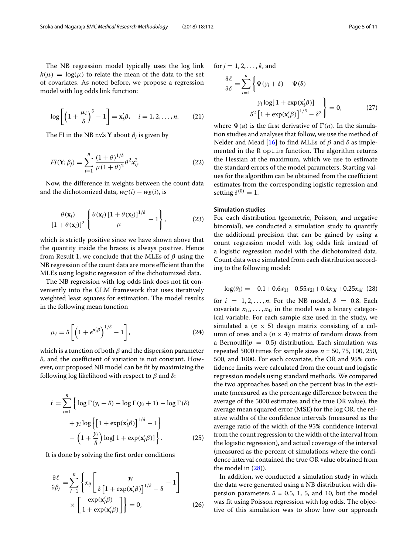$$
\log\left[\left(1+\frac{\mu_i}{\delta}\right)^{\delta}-1\right]=\mathbf{x}'_i\beta,\quad i=1,2,\ldots,n.\qquad(21)
$$

The FI in the NB r.v.'s **Y** about  $\beta_i$  is given by

$$
FI(\mathbf{Y}; \beta_j) = \sum_{i=1}^{n} \frac{(1+\theta)^{1/\delta}}{\mu(1+\theta)^2} \theta^2 x_{ij}^2.
$$
 (22)

Now, the difference in weights between the count data and the dichotomized data,  $w_C(i) - w_B(i)$ , is

$$
\frac{\theta(\mathbf{x}_i)}{\left[1+\theta(\mathbf{x}_i)\right]^2} \left\{\frac{\theta(\mathbf{x}_i)\left[1+\theta(\mathbf{x}_i)\right]^{1/\delta}}{\mu} - 1\right\},\tag{23}
$$

which is strictly positive since we have shown above that the quantity inside the braces is always positive. Hence from Result 1, we conclude that the MLEs of  $\beta$  using the NB regression of the count data are more efficient than the MLEs using logistic regression of the dichotomized data.

The NB regression with log odds link does not fit conveniently into the GLM framework that uses iteratively weighted least squares for estimation. The model results in the following mean function

$$
\mu_i = \delta \left[ \left( 1 + e^{\mathbf{x}'_i \beta} \right)^{1/\delta} - 1 \right],\tag{24}
$$

which is a function of both  $\beta$  and the dispersion parameter δ, and the coefficient of variation is not constant. However, our proposed NB model can be fit by maximizing the following log likelihood with respect to  $\beta$  and  $\delta$ :

$$
\ell = \sum_{i=1}^{n} \left\{ \log \Gamma(y_i + \delta) - \log \Gamma(y_i + 1) - \log \Gamma(\delta) + y_i \log \left\{ \left[ 1 + \exp(\mathbf{x}_i/\beta) \right]^{1/\delta} - 1 \right\} - \left( 1 + \frac{y_i}{\delta} \right) \log \left[ 1 + \exp(\mathbf{x}_i/\beta) \right] \right\}.
$$
 (25)

It is done by solving the first order conditions

$$
\frac{\partial \ell}{\partial \beta_j} = \sum_{i=1}^n \left\{ x_{ij} \left[ \frac{y_i}{\delta \left[ 1 + \exp(\mathbf{x}_i/\beta) \right]^{1/\delta} - \delta} - 1 \right] \times \left[ \frac{\exp(\mathbf{x}_i/\beta)}{1 + \exp(\mathbf{x}_i/\beta)} \right] \right\} = 0,
$$
\n(26)

for 
$$
j = 1, 2, ..., k
$$
, and  
\n
$$
\frac{\partial \ell}{\partial \delta} = \sum_{i=1}^{n} \left\{ \Psi(y_i + \delta) - \Psi(\delta) - \frac{y_i \log[1 + \exp(\mathbf{x}_i/\beta)]}{\delta^2 [1 + \exp(\mathbf{x}_i/\beta)]^{1/\delta} - \delta^2} \right\} = 0,
$$
\n(27)

where  $\Psi(a)$  is the first derivative of  $\Gamma(a)$ . In the simulation studies and analyses that follow, we use the method of Nelder and Mead [\[16\]](#page-10-10) to find MLEs of  $\beta$  and  $\delta$  as implemented in the R optim function. The algorithm returns the Hessian at the maximum, which we use to estimate the standard errors of the model parameters. Starting values for the algorithm can be obtained from the coefficient estimates from the corresponding logistic regression and setting  $\delta^{(0)} = 1$ .

# **Simulation studies**

For each distribution (geometric, Poisson, and negative binomial), we conducted a simulation study to quantify the additional precision that can be gained by using a count regression model with log odds link instead of a logistic regression model with the dichotomized data. Count data were simulated from each distribution according to the following model:

<span id="page-4-0"></span>
$$
\log(\theta_i) = -0.1 + 0.6x_{1i} - 0.55x_{2i} + 0.4x_{3i} + 0.25x_{4i} \tag{28}
$$

for  $i = 1, 2, \ldots, n$ . For the NB model,  $\delta = 0.8$ . Each covariate  $x_{1i}, \ldots, x_{4i}$  in the model was a binary categorical variable. For each sample size used in the study, we simulated a  $(n \times 5)$  design matrix consisting of a column of ones and a  $(n \times 4)$  matrix of random draws from a Bernoulli( $p = 0.5$ ) distribution. Each simulation was repeated 5000 times for sample sizes *n* = 50, 75, 100, 250, 500, and 1000. For each covariate, the OR and 95% confidence limits were calculated from the count and logistic regression models using standard methods. We compared the two approaches based on the percent bias in the estimate (measured as the percentage difference between the average of the 5000 estimates and the true OR value), the average mean squared error (MSE) for the log OR, the relative widths of the confidence intervals (measured as the average ratio of the width of the 95% confidence interval from the count regression to the width of the interval from the logistic regression), and actual coverage of the interval (measured as the percent of simulations where the confidence interval contained the true OR value obtained from the model in  $(28)$ ).

In addition, we conducted a simulation study in which the data were generated using a NB distribution with dispersion parameters  $\delta = 0.5, 1, 5,$  and 10, but the model was fit using Poisson regression with log odds. The objective of this simulation was to show how our approach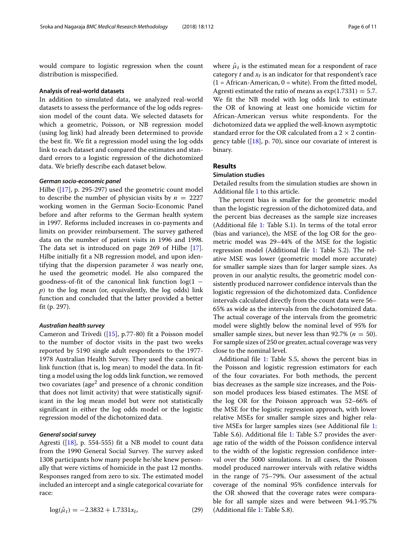would compare to logistic regression when the count distribution is misspecified.

#### **Analysis of real-world datasets**

In addition to simulated data, we analyzed real-world datasets to assess the performance of the log odds regression model of the count data. We selected datasets for which a geometric, Poisson, or NB regression model (using log link) had already been determined to provide the best fit. We fit a regression model using the log odds link to each dataset and compared the estimates and standard errors to a logistic regression of the dichotomized data. We briefly describe each dataset below.

#### *German socio-economic panel*

Hilbe ([\[17\]](#page-10-11), p. 295-297) used the geometric count model to describe the number of physician visits by  $n = 2227$ working women in the German Socio-Economic Panel before and after reforms to the German health system in 1997. Reforms included increases in co-payments and limits on provider reimbursement. The survey gathered data on the number of patient visits in 1996 and 1998. The data set is introduced on page 269 of Hilbe [\[17\]](#page-10-11). Hilbe initially fit a NB regression model, and upon identifying that the dispersion parameter  $\delta$  was nearly one, he used the geometric model. He also compared the goodness-of-fit of the canonical link function  $log(1$ *p*) to the log mean (or, equivalently, the log odds) link function and concluded that the latter provided a better fit (p. 297).

#### *Australian health survey*

Cameron and Trivedi ([\[15\]](#page-10-9), p.77-80) fit a Poisson model to the number of doctor visits in the past two weeks reported by 5190 single adult respondents to the 1977- 1978 Australian Health Survey. They used the canonical link function (that is, log mean) to model the data. In fitting a model using the log odds link function, we removed two covariates (age<sup>2</sup> and presence of a chronic condition that does not limit activity) that were statistically significant in the log mean model but were not statistically significant in either the log odds model or the logistic regression model of the dichotomized data.

## *General social survey*

Agresti ( $[18]$ , p. 554-555) fit a NB model to count data from the 1990 General Social Survey. The survey asked 1308 participants how many people he/she knew personally that were victims of homicide in the past 12 months. Responses ranged from zero to six. The estimated model included an intercept and a single categorical covariate for race:

$$
\log(\hat{\mu}_t) = -2.3832 + 1.7331x_t, \tag{29}
$$

where  $\hat{\mu}_t$  is the estimated mean for a respondent of race category  $t$  and  $x_t$  is an indicator for that respondent's race  $(1 = African-American, 0 = white)$ . From the fitted model, Agresti estimated the ratio of means as  $exp(1.7331) = 5.7$ . We fit the NB model with log odds link to estimate the OR of knowing at least one homicide victim for African-American versus white respondents. For the dichotomized data we applied the well-known asymptotic standard error for the OR calculated from a  $2 \times 2$  contingency table ( $[18]$ , p. 70), since our covariate of interest is binary.

# **Results**

## **Simulation studies**

Detailed results from the simulation studies are shown in Additional file [1](#page-9-5) to this article.

The percent bias is smaller for the geometric model than the logistic regression of the dichotomized data, and the percent bias decreases as the sample size increases (Additional file [1:](#page-9-5) Table S.1). In terms of the total error (bias and variance), the MSE of the log OR for the geometric model was 29–44% of the MSE for the logistic regression model (Additional file [1:](#page-9-5) Table S.2). The relative MSE was lower (geometric model more accurate) for smaller sample sizes than for larger sample sizes. As proven in our analytic results, the geometric model consistently produced narrower confidence intervals than the logistic regression of the dichotomized data. Confidence intervals calculated directly from the count data were 56– 65% as wide as the intervals from the dichotomized data. The actual coverage of the intervals from the geometric model were slightly below the nominal level of 95% for smaller sample sizes, but never less than  $92.7\%$  ( $n = 50$ ). For sample sizes of 250 or greater, actual coverage was very close to the nominal level.

Additional file [1:](#page-9-5) Table S.5, shows the percent bias in the Poisson and logistic regression estimators for each of the four covariates. For both methods, the percent bias decreases as the sample size increases, and the Poisson model produces less biased estimates. The MSE of the log OR for the Poisson approach was 52–66% of the MSE for the logistic regression approach, with lower relative MSEs for smaller sample sizes and higher relative MSEs for larger samples sizes (see Additional file [1:](#page-9-5) Table S.6). Additional file [1:](#page-9-5) Table S.7 provides the average ratio of the width of the Poisson confidence interval to the width of the logistic regression confidence interval over the 5000 simulations. In all cases, the Poisson model produced narrower intervals with relative widths in the range of 75–79%. Our assessment of the actual coverage of the nominal 95% confidence intervals for the OR showed that the coverage rates were comparable for all sample sizes and were between 94.1-95.7% (Additional file [1:](#page-9-5) Table S.8).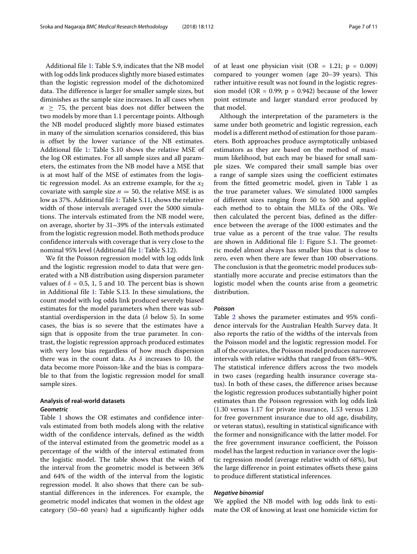Additional file [1:](#page-9-5) Table S.9, indicates that the NB model with log odds link produces slightly more biased estimates than the logistic regression model of the dichotomized data. The difference is larger for smaller sample sizes, but diminishes as the sample size increases. In all cases when  $n > 75$ , the percent bias does not differ between the two models by more than 1.1 percentage points. Although the NB model produced slightly more biased estimates in many of the simulation scenarios considered, this bias is offset by the lower variance of the NB estimates. Additional file [1:](#page-9-5) Table S.10 shows the relative MSE of the log OR estimates. For all sample sizes and all parameters, the estimates from the NB model have a MSE that is at most half of the MSE of estimates from the logistic regression model. As an extreme example, for the  $x_2$ covariate with sample size  $n = 50$ , the relative MSE is as low as 37%. Additional file [1:](#page-9-5) Table S.11, shows the relative width of those intervals averaged over the 5000 simulations. The intervals estimated from the NB model were, on average, shorter by 31–39% of the intervals estimated from the logistic regression model. Both methods produce confidence intervals with coverage that is very close to the nominal 95% level (Additional file [1:](#page-9-5) Table S.12).

We fit the Poisson regression model with log odds link and the logistic regression model to data that were generated with a NB distribution using dispersion parameter values of  $\delta = 0.5, 1, 5$  and 10. The percent bias is shown in Additional file [1:](#page-9-5) Table S.13. In these simulations, the count model with log odds link produced severely biased estimates for the model parameters when there was substantial overdispersion in the data ( $\delta$  below 5). In some cases, the bias is so severe that the estimates have a sign that is opposite from the true parameter. In contrast, the logistic regression approach produced estimates with very low bias regardless of how much dispersion there was in the count data. As  $\delta$  increases to 10, the data become more Poisson-like and the bias is comparable to that from the logistic regression model for small sample sizes.

# **Analysis of real-world datasets** *Geometric*

Table [1](#page-7-0) shows the OR estimates and confidence intervals estimated from both models along with the relative width of the confidence intervals, defined as the width of the interval estimated from the geometric model as a percentage of the width of the interval estimated from the logistic model. The table shows that the width of the interval from the geometric model is between 36% and 64% of the width of the interval from the logistic regression model. It also shows that there can be substantial differences in the inferences. For example, the geometric model indicates that women in the oldest age category (50–60 years) had a significantly higher odds

of at least one physician visit (OR = 1.21;  $p = 0.009$ ) compared to younger women (age 20–39 years). This rather intuitive result was not found in the logistic regression model (OR = 0.99;  $p = 0.942$ ) because of the lower point estimate and larger standard error produced by that model.

Although the interpretation of the parameters is the same under both geometric and logistic regression, each model is a different method of estimation for those parameters. Both approaches produce asymptotically unbiased estimators as they are based on the method of maximum likelihood, but each may be biased for small sample sizes. We compared their small sample bias over a range of sample sizes using the coefficient estimates from the fitted geometric model, given in Table 1 as the true parameter values. We simulated 1000 samples of different sizes ranging from 50 to 500 and applied each method to to obtain the MLEs of the ORs. We then calculated the percent bias, defined as the difference between the average of the 1000 estimates and the true value as a percent of the true value. The results are shown in Additional file [1:](#page-9-5) Figure S.1. The geometric model almost always has smaller bias that is close to zero, even when there are fewer than 100 observations. The conclusion is that the geometric model produces substantially more accurate and precise estimators than the logistic model when the counts arise from a geometric distribution.

# *Poisson*

Table [2](#page-7-1) shows the parameter estimates and 95% confidence intervals for the Australian Health Survey data. It also reports the ratio of the widths of the intervals from the Poisson model and the logistic regression model. For all of the covariates, the Poisson model produces narrower intervals with relative widths that ranged from 68%–90%. The statistical inference differs across the two models in two cases (regarding health insurance coverage status). In both of these cases, the difference arises because the logistic regression produces substantially higher point estimates than the Poisson regression with log odds link (1.30 versus 1.17 for private insurance, 1.53 versus 1.20 for free government insurance due to old age, disability, or veteran status), resulting in statistical significance with the former and nonsignificance with the latter model. For the free government insurance coefficient, the Poisson model has the largest reduction in variance over the logistic regression model (average relative width of 68%), but the large difference in point estimates offsets these gains to produce different statistical inferences.

#### *Negative binomial*

We applied the NB model with log odds link to estimate the OR of knowing at least one homicide victim for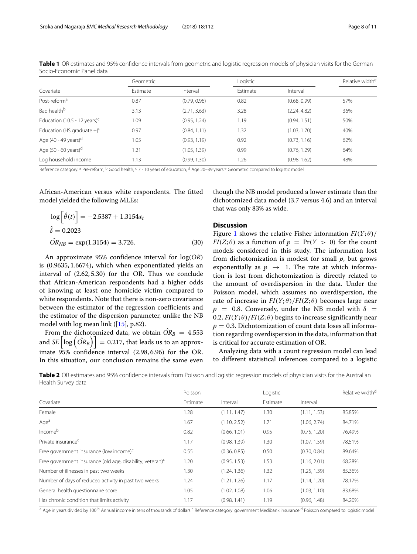|                                           | Geometric |              |          |              | Relative width <sup>e</sup> |
|-------------------------------------------|-----------|--------------|----------|--------------|-----------------------------|
| Covariate                                 | Estimate  | Interval     | Estimate | Interval     |                             |
| Post-reform <sup>a</sup>                  | 0.87      | (0.79, 0.96) | 0.82     | (0.68, 0.99) | 57%                         |
| Bad health <sup>b</sup>                   | 3.13      | (2.71, 3.63) | 3.28     | (2.24, 4.82) | 36%                         |
| Education (10.5 - 12 years) <sup>c</sup>  | 1.09      | (0.95, 1.24) | 1.19     | (0.94, 1.51) | 50%                         |
| Education (HS graduate $+$ ) <sup>c</sup> | 0.97      | (0.84, 1.11) | 1.32     | (1.03, 1.70) | 40%                         |
| Age (40 - 49 years) <sup>d</sup>          | 1.05      | (0.93, 1.19) | 0.92     | (0.73, 1.16) | 62%                         |
| Age $(50 - 60 \text{ years})^d$           | 1.21      | (1.05, 1.39) | 0.99     | (0.76, 1.29) | 64%                         |
| Log household income                      | 1.13      | (0.99, 1.30) | 1.26     | (0.98, 1.62) | 48%                         |

<span id="page-7-0"></span>**Table 1** OR estimates and 95% confidence intervals from geometric and logistic regression models of physician visits for the German Socio-Economic Panel data

Reference category: <sup>a</sup> Pre-reform; <sup>b</sup> Good health; <sup>c</sup> 7 - 10 years of education; <sup>d</sup> Age 20–39 years <sup>e</sup> Geometric compared to logistic model

African-American versus white respondents. The fitted model yielded the following MLEs:

$$
\log \left[\hat{\theta}(t)\right] = -2.5387 + 1.3154x_t
$$
  

$$
\hat{\delta} = 0.2023
$$
  

$$
\hat{OR}_{NB} = \exp(1.3154) = 3.726.
$$
 (30)

An approximate 95% confidence interval for log(*OR*) is (0.9635, 1.6674), which when exponentiated yields an interval of (2.62, 5.30) for the OR. Thus we conclude that African-American respondents had a higher odds of knowing at least one homicide victim compared to white respondents. Note that there is non-zero covariance between the estimator of the regression coefficients and the estimator of the dispersion parameter, unlike the NB model with log mean link ([\[15\]](#page-10-9), p.82).

From the dichotomized data, we obtain  $\hat{OR}_B = 4.553$ and  $SE\left[\log\left(\hat{OR}_B\right)\right]=0.217$ , that leads us to an approximate 95% confidence interval (2.98, 6.96) for the OR. In this situation, our conclusion remains the same even though the NB model produced a lower estimate than the dichotomized data model (3.7 versus 4.6) and an interval that was only 83% as wide.

#### **Discussion**

Figure [1](#page-8-0) shows the relative Fisher information  $FI(Y; \theta)$ *FI*( $Z$ ; $\theta$ ) as a function of  $p = Pr(Y > 0)$  for the count models considered in this study. The information lost from dichotomization is modest for small *p*, but grows exponentially as  $p \rightarrow 1$ . The rate at which information is lost from dichotomization is directly related to the amount of overdispersion in the data. Under the Poisson model, which assumes no overdispersion, the rate of increase in  $FI(Y; \theta)/FI(Z; \theta)$  becomes large near  $p = 0.8$ . Conversely, under the NB model with  $\delta =$ 0.2,  $FI(Y; \theta)/FI(Z; \theta)$  begins to increase significantly near  $p = 0.3$ . Dichotomization of count data loses all information regarding overdispersion in the data, information that is critical for accurate estimation of OR.

Analyzing data with a count regression model can lead to different statistical inferences compared to a logistic

<span id="page-7-1"></span>**Table 2** OR estimates and 95% confidence intervals from Poisson and logistic regression models of physician visits for the Australian Health Survey data

|                                                              | Poisson  |              | Logistic |              | Relative width <sup>d</sup> |
|--------------------------------------------------------------|----------|--------------|----------|--------------|-----------------------------|
| Covariate                                                    | Estimate | Interval     | Estimate | Interval     |                             |
| Female                                                       | 1.28     | (1.11, 1.47) | 1.30     | (1.11, 1.53) | 85.85%                      |
| Age <sup>a</sup>                                             | 1.67     | (1.10, 2.52) | 1.71     | (1.06, 2.74) | 84.71%                      |
| Incomeb                                                      | 0.82     | (0.66, 1.01) | 0.95     | (0.75, 1.20) | 76.49%                      |
| Private insurance <sup>c</sup>                               | 1.17     | (0.98, 1.39) | 1.30     | (1.07, 1.59) | 78.51%                      |
| Free government insurance (low income) $c$                   | 0.55     | (0.36, 0.85) | 0.50     | (0.30, 0.84) | 89.64%                      |
| Free government insurance (old age, disability, veteran) $c$ | 1.20     | (0.95, 1.53) | 1.53     | (1.16, 2.01) | 68.28%                      |
| Number of illnesses in past two weeks                        | 1.30     | (1.24, 1.36) | 1.32     | (1.25, 1.39) | 85.36%                      |
| Number of days of reduced activity in past two weeks         | 1.24     | (1.21, 1.26) | 1.17     | (1.14, 1.20) | 78.17%                      |
| General health questionnaire score                           | 1.05     | (1.02, 1.08) | 1.06     | (1.03, 1.10) | 83.68%                      |
| Has chronic condition that limits activity                   | 1.17     | (0.98, 1.41) | 1.19     | (0.96, 1.48) | 84.20%                      |

<sup>a</sup> Age in years divided by 100<sup>b</sup> Annual income in tens of thousands of dollars <sup>c</sup> Reference category: government Medibank insurance <sup>d</sup> Poisson compared to logistic model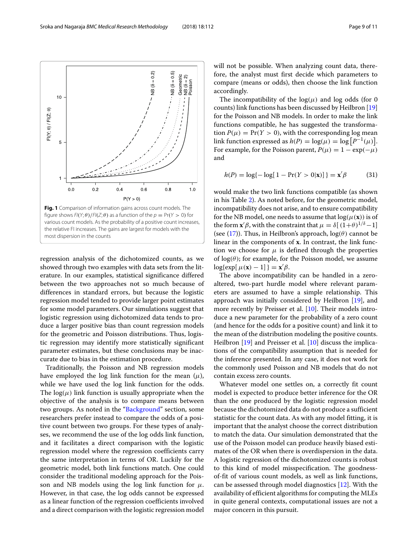<span id="page-8-0"></span>regression analysis of the dichotomized counts, as we showed through two examples with data sets from the literature. In our examples, statistical significance differed between the two approaches not so much because of differences in standard errors, but because the logistic regression model tended to provide larger point estimates for some model parameters. Our simulations suggest that logistic regression using dichotomized data tends to produce a larger positive bias than count regression models for the geometric and Poisson distributions. Thus, logistic regression may identify more statistically significant parameter estimates, but these conclusions may be inaccurate due to bias in the estimation procedure.

Traditionally, the Poisson and NB regression models have employed the log link function for the mean  $(\mu)$ , while we have used the log link function for the odds. The  $log(\mu)$  link function is usually appropriate when the objective of the analysis is to compare means between two groups. As noted in the ["Background"](#page-0-0) section, some researchers prefer instead to compare the odds of a positive count between two groups. For these types of analyses, we recommend the use of the log odds link function, and it facilitates a direct comparison with the logistic regression model where the regression coefficients carry the same interpretation in terms of OR. Luckily for the geometric model, both link functions match. One could consider the traditional modeling approach for the Poisson and NB models using the log link function for  $\mu$ . However, in that case, the log odds cannot be expressed as a linear function of the regression coefficients involved and a direct comparison with the logistic regression model will not be possible. When analyzing count data, therefore, the analyst must first decide which parameters to compare (means or odds), then choose the link function accordingly.

The incompatibility of the  $log(\mu)$  and log odds (for 0) counts) link functions has been discussed by Heilbron [\[19\]](#page-10-13) for the Poisson and NB models. In order to make the link functions compatible, he has suggested the transformation  $P(\mu) = Pr(Y > 0)$ , with the corresponding log mean link function expressed as  $h(P) = \log(\mu) = \log [P^{-1}(\mu)].$ For example, for the Poisson parent,  $P(\mu) = 1 - \exp(-\mu)$ and

$$
h(P) = \log\{-\log[1 - \Pr(Y > 0|\mathbf{x})]\} = \mathbf{x}'\beta \tag{31}
$$

would make the two link functions compatible (as shown in his Table [2\)](#page-7-1). As noted before, for the geometric model, incompatibility does not arise, and to ensure compatibility for the NB model, one needs to assume that  $log(\mu(\mathbf{x}))$  is of the form  $\mathbf{x}'\boldsymbol{\beta}$ , with the constraint that  $\mu = \delta[(1+\theta)^{1/\delta}-1]$ (see [\(17\)](#page-3-3)). Thus, in Heilbron's approach,  $log(\theta)$  cannot be linear in the components of **x**. In contrast, the link function we choose for  $\mu$  is defined through the properties of  $log(\theta)$ ; for example, for the Poisson model, we assume  $log\{exp[ \mu(\mathbf{x}) - 1] \} = \mathbf{x}'\beta.$ 

The above incompatibility can be handled in a zeroaltered, two-part hurdle model where relevant parameters are assumed to have a simple relationship. This approach was initially considered by Heilbron [\[19\]](#page-10-13), and more recently by Preisser et al. [\[10\]](#page-10-4). Their models introduce a new parameter for the probability of a zero count (and hence for the odds for a positive count) and link it to the mean of the distribution modeling the positive counts. Heilbron [\[19\]](#page-10-13) and Preisser et al. [\[10\]](#page-10-4) discuss the implications of the compatibility assumption that is needed for the inference presented. In any case, it does not work for the commonly used Poisson and NB models that do not contain excess zero counts.

Whatever model one settles on, a correctly fit count model is expected to produce better inference for the OR than the one produced by the logistic regression model because the dichotomized data do not produce a sufficient statistic for the count data. As with any model fitting, it is important that the analyst choose the correct distribution to match the data. Our simulation demonstrated that the use of the Poisson model can produce heavily biased estimates of the OR when there is overdispersion in the data. A logistic regression of the dichotomized counts is robust to this kind of model misspecification. The goodnessof-fit of various count models, as well as link functions, can be assessed through model diagnostics [\[12\]](#page-10-6). With the availability of efficient algorithms for computing the MLEs in quite general contexts, computational issues are not a major concern in this pursuit.

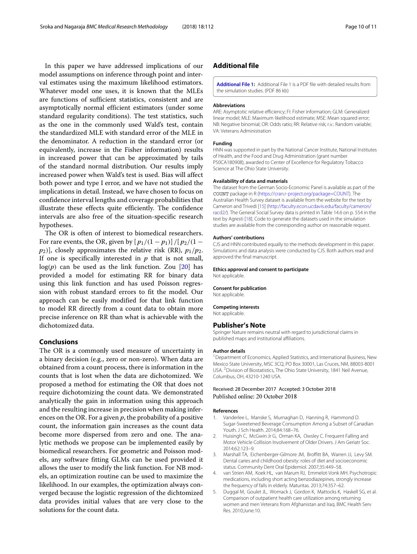In this paper we have addressed implications of our model assumptions on inference through point and interval estimates using the maximum likelihood estimators. Whatever model one uses, it is known that the MLEs are functions of sufficient statistics, consistent and are asymptotically normal efficient estimators (under some standard regularity conditions). The test statistics, such as the one in the commonly used Wald's test, contain the standardized MLE with standard error of the MLE in the denominator. A reduction in the standard error (or equivalently, increase in the Fisher information) results in increased power that can be approximated by tails of the standard normal distribution. Our results imply increased power when Wald's test is used. Bias will affect both power and type I error, and we have not studied the implications in detail. Instead, we have chosen to focus on confidence interval lengths and coverage probabilities that illustrate these effects quite efficiently. The confidence intervals are also free of the situation-specific research hypotheses.

The OR is often of interest to biomedical researchers. For rare events, the OR, given by  $[p_1/(1-p_1)]/[p_2/(1-p_1)]$  $[p_2]$ , closely approximates the relative risk (RR),  $p_1/p_2$ . If one is specifically interested in  $p$  that is not small,  $log(p)$  can be used as the link function. Zou  $[20]$  has provided a model for estimating RR for binary data using this link function and has used Poisson regression with robust standard errors to fit the model. Our approach can be easily modified for that link function to model RR directly from a count data to obtain more precise inference on RR than what is achievable with the dichotomized data.

#### **Conclusions**

The OR is a commonly used measure of uncertainty in a binary decision (e.g., zero or non-zero). When data are obtained from a count process, there is information in the counts that is lost when the data are dichotomized. We proposed a method for estimating the OR that does not require dichotomizing the count data. We demonstrated analytically the gain in information using this approach and the resulting increase in precision when making inferences on the OR. For a given *p*, the probability of a positive count, the information gain increases as the count data become more dispersed from zero and one. The analytic methods we propose can be implemented easily by biomedical researchers. For geometric and Poisson models, any software fitting GLMs can be used provided it allows the user to modify the link function. For NB models, an optimization routine can be used to maximize the likelihood. In our examples, the optimization always converged because the logistic regression of the dichtomized data provides initial values that are very close to the solutions for the count data.

# **Additional file**

<span id="page-9-5"></span>**[Additional File 1:](https://doi.org/10.1186/s12874-018-0568-9)** Additional File 1 is a PDF file with detailed results from the simulation studies. (PDF 86 kb)

#### **Abbreviations**

ARE: Asymptotic relative efficiency; FI: Fisher information; GLM: Generalized linear model; MLE: Maximum likelihood estimate; MSE: Mean squared error; NB: Negative binomial; OR: Odds ratio; RR: Relative risk; r.v.: Random variable; VA: Veterans Administration

#### **Funding**

HNN was supported in part by the National Cancer Institute, National Institutes of Health, and the Food and Drug Administration (grant number P50CA180908), awarded to Center of Excellence for Regulatory Tobacco Science at The Ohio State University.

#### **Availability of data and materials**

The dataset from the German Socio-Economic Panel is available as part of the COUNT package in R [\(https://cran.r-project.org/package=COUNT\)](https://cran.r-project.org/package=COUNT). The Australian Health Survey dataset is available from the website for the text by Cameron and Trivedi [\[15\]](#page-10-9) [\(http://faculty.econ.ucdavis.edu/faculty/cameron/](http://faculty.econ.ucdavis.edu/faculty/cameron/racd2/) [racd2/\)](http://faculty.econ.ucdavis.edu/faculty/cameron/racd2/). The General Social Survey data is printed in Table 14.6 on p. 554 in the text by Agresti [\[18\]](#page-10-12). Code to generate the datasets used in the simulation studies are available from the corresponding author on reasonable request.

#### **Authors' contributions**

CJS and HNN contributed equally to the methods development in this paper. Simulations and data analysis were conducted by CJS. Both authors read and approved the final manuscript.

# **Ethics approval and consent to participate**

Not applicable.

Not applicable.

**Consent for publication**

**Competing interests** Not applicable.

# **Publisher's Note**

Springer Nature remains neutral with regard to jurisdictional claims in published maps and institutional affiliations.

#### **Author details**

<sup>1</sup> Department of Economics, Applied Statistics, and International Business, New Mexico State University, MSC 3CQ, PO Box 30001, Las Cruces, NM, 88003-8001 USA. 2Division of Biostatistics, The Ohio State University, 1841 Neil Avenue, Columbus, OH, 43210-1240 USA.

#### Received: 28 December 2017 Accepted: 3 October 2018 Published online: 20 October 2018

#### **References**

- <span id="page-9-0"></span>1. Vanderlee L, Manske S, Murnaghan D, Hanning R, Hammond D. Sugar-Sweetened Beverage Consumption Among a Subset of Canadian Youth. J Sch Health. 2014;84:168–76.
- <span id="page-9-1"></span>2. Huisingh C, McGwin Jr G, Orman KA, Owsley C. Frequent Falling and Motor Vehicle Collision Involvement of Older Drivers. J Am Geriatr Soc. 2014;62:123–9.
- <span id="page-9-2"></span>3. Marshall TA, Eichenberger-Gilmore JM, Broffitt BA, Warren JJ, Levy SM. Dental caries and childhood obesity: roles of diet and socioeconomic status. Community Dent Oral Epidemiol. 2007;35:449–58.
- <span id="page-9-3"></span>4. van Strien AM, Koek HL, van Marum RJ, Emmelot-Vonk MH. Psychotropic medications, including short acting benzodiazepines, strongly increase the frequency of falls in elderly. Maturitas. 2013;74:357–62.
- <span id="page-9-4"></span>5. Duggal M, Goulet JL, Womack J, Gordon K, Mattocks K, Haskell SG, et al. Comparison of outpatient health care utilization among returning women and men Veterans from Afghanistan and Iraq. BMC Health Serv Res. 2010;June:10.